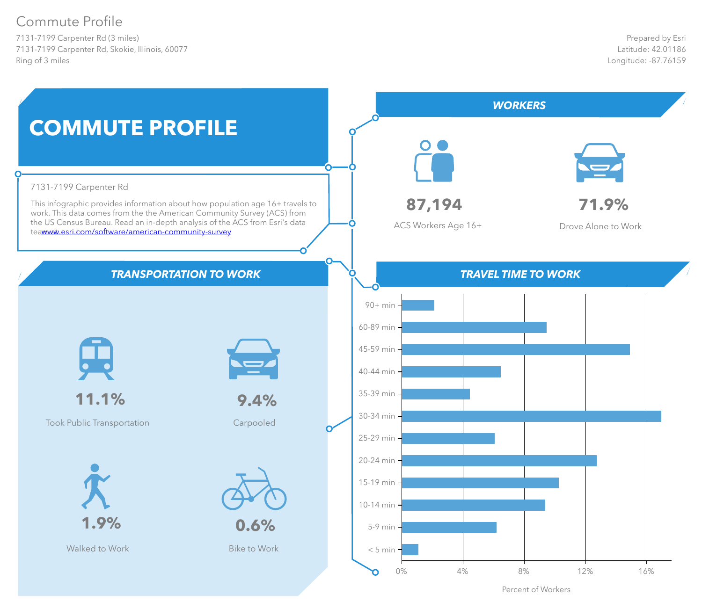# Commute Profile

7131-7199 Carpenter Rd (3 miles) 7131-7199 Carpenter Rd, Skokie, Illinois, 60077 Ring of 3 miles



Percent of Workers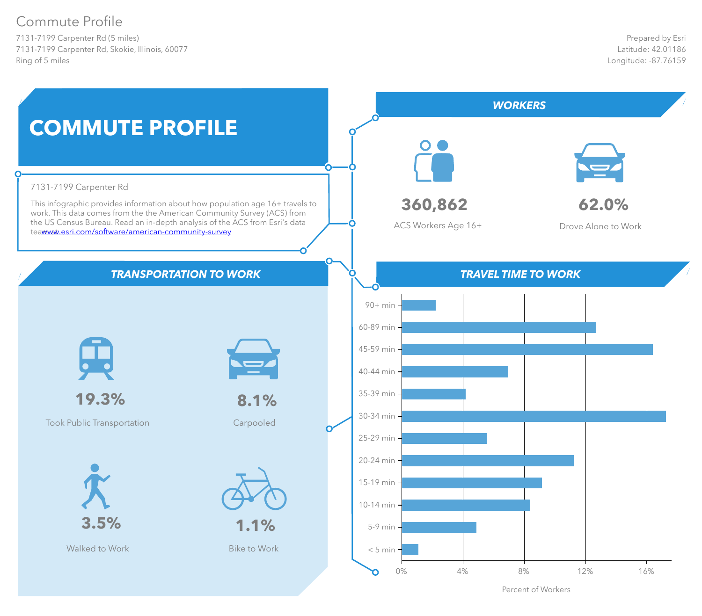# Commute Profile

7131-7199 Carpenter Rd (5 miles) 7131-7199 Carpenter Rd, Skokie, Illinois, 60077 Ring of 5 miles



Percent of Workers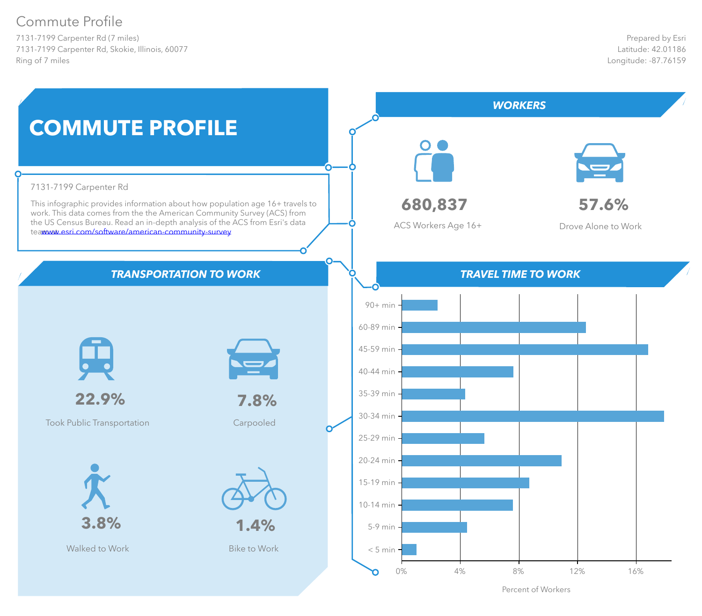# Commute Profile

7131-7199 Carpenter Rd (7 miles) 7131-7199 Carpenter Rd, Skokie, Illinois, 60077 Ring of 7 miles



Percent of Workers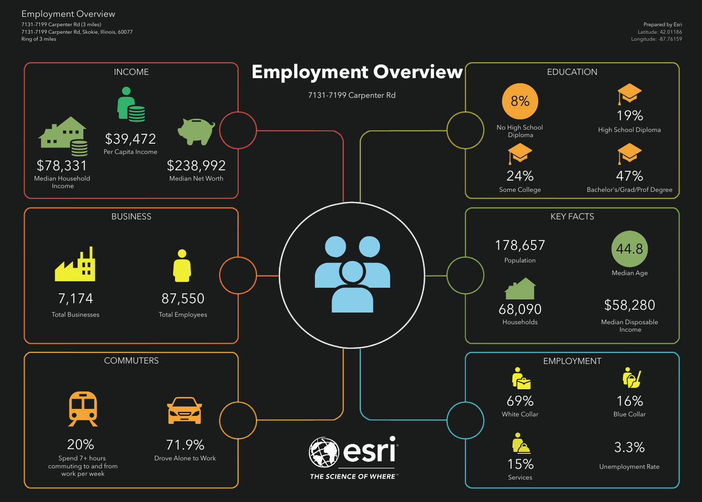7131-7199 Carpenter Rd (3 miles) 7131-7199 Carpenter Rd, Skokie, Illinois, 60077 Ring of 3 miles

## Employment Overview

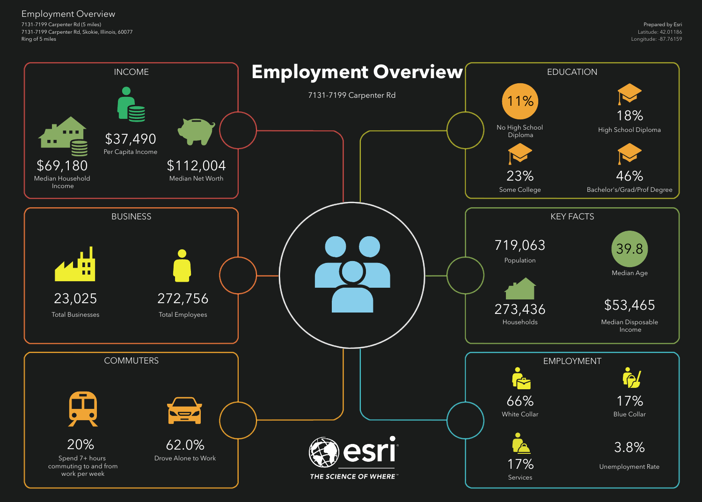7131-7199 Carpenter Rd (5 miles) 7131-7199 Carpenter Rd, Skokie, Illinois, 60077 Ring of 5 miles

## Employment Overview

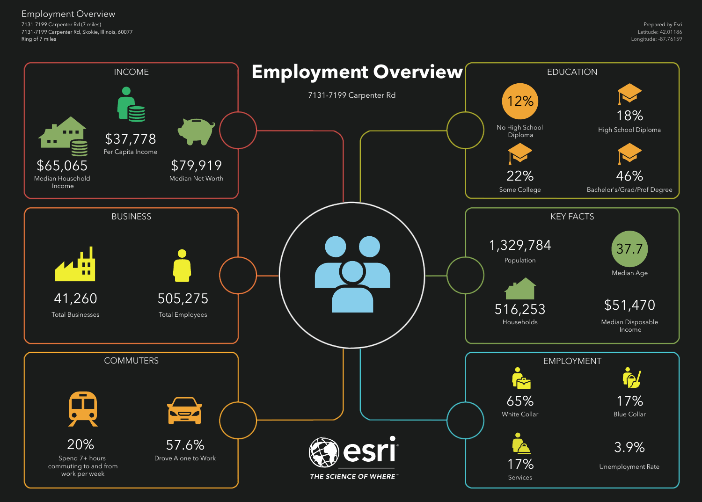7131-7199 Carpenter Rd (7 miles) 7131-7199 Carpenter Rd, Skokie, Illinois, 60077 Ring of 7 miles

## Employment Overview

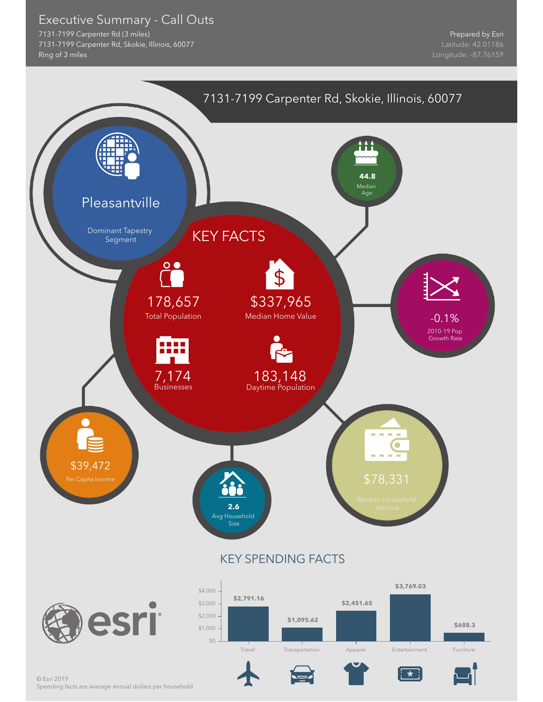Executive Summary - Call Outs

7131-7199 Carpenter Rd (3 miles) 7131-7199 Carpenter Rd, Skokie, Illinois, 60077 Ring of 3 miles

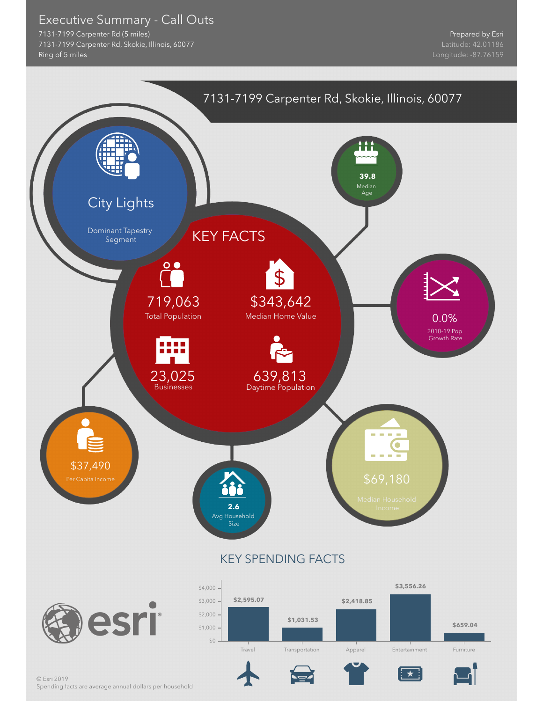Executive Summary - Call Outs

7131-7199 Carpenter Rd (5 miles) 7131-7199 Carpenter Rd, Skokie, Illinois, 60077 Ring of 5 miles



Spending facts are average annual dollars per household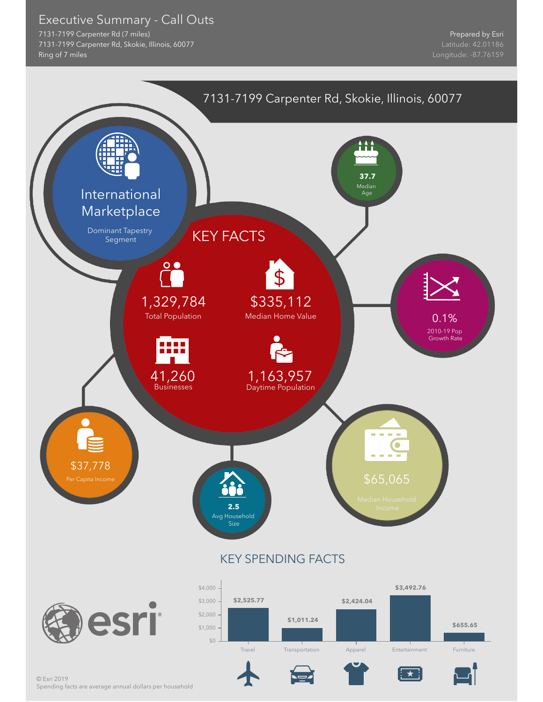Executive Summary - Call Outs

7131-7199 Carpenter Rd (7 miles) 7131-7199 Carpenter Rd, Skokie, Illinois, 60077 Ring of 7 miles

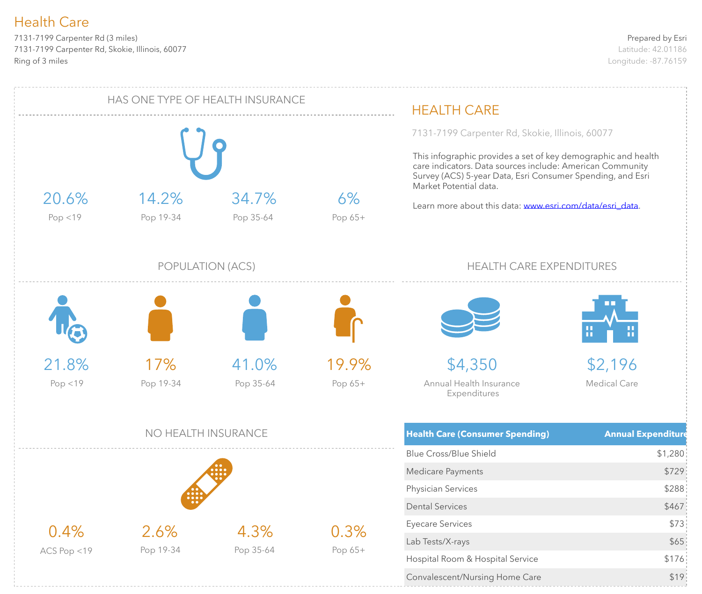7131-7199 Carpenter Rd (3 miles) 7131-7199 Carpenter Rd, Skokie, Illinois, 60077 Ring of 3 miles

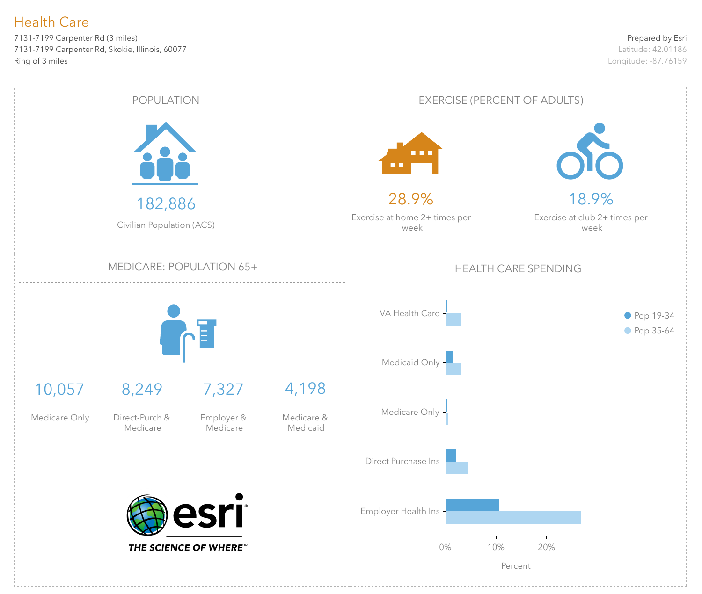7131-7199 Carpenter Rd (3 miles) 7131-7199 Carpenter Rd, Skokie, Illinois, 60077 Ring of 3 miles

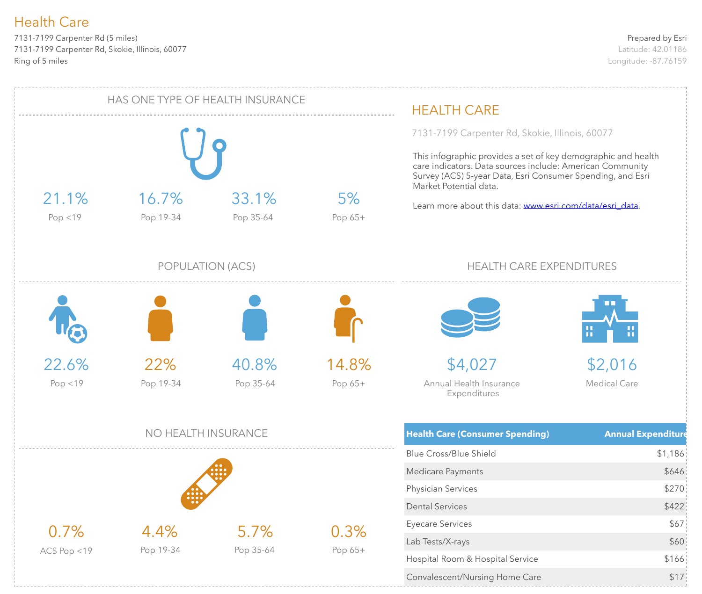7131-7199 Carpenter Rd (5 miles) 7131-7199 Carpenter Rd, Skokie, Illinois, 60077 Ring of 5 miles

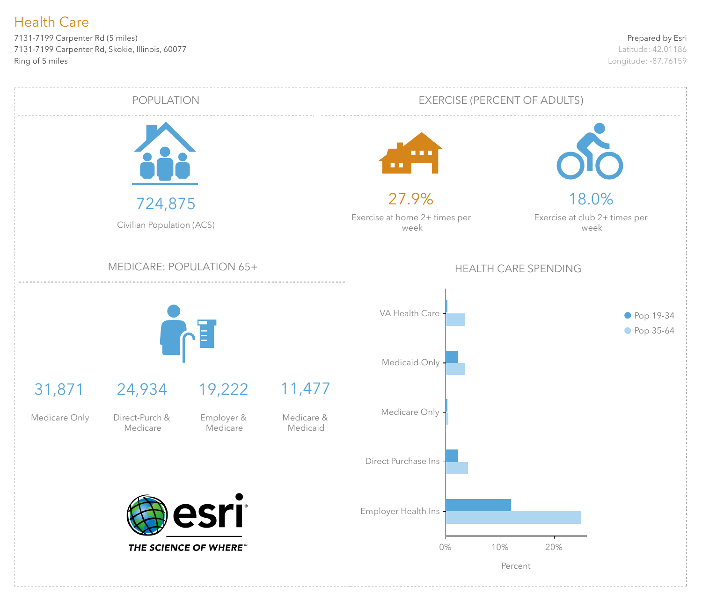7131-7199 Carpenter Rd (5 miles) 7131-7199 Carpenter Rd, Skokie, Illinois, 60077 Ring of 5 miles

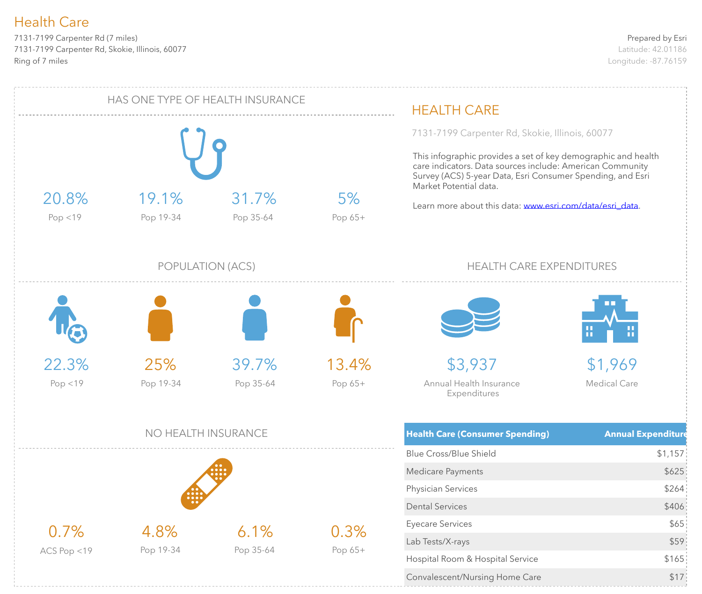7131-7199 Carpenter Rd (7 miles) 7131-7199 Carpenter Rd, Skokie, Illinois, 60077 Ring of 7 miles

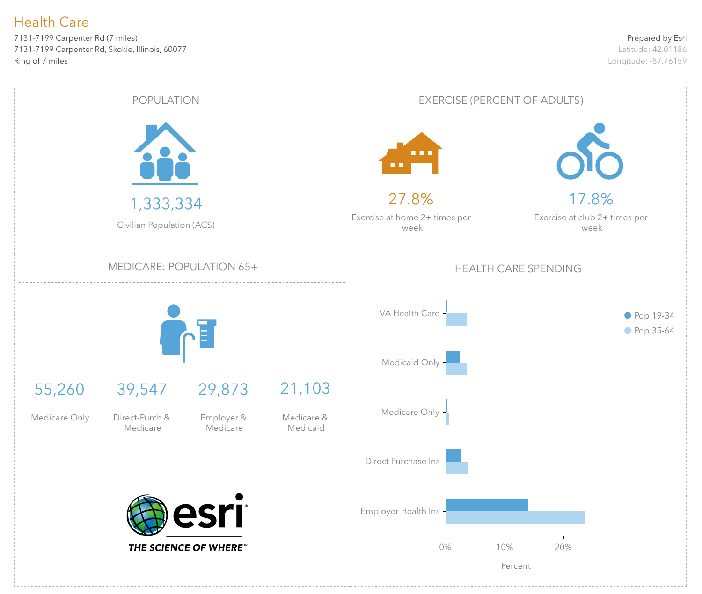7131-7199 Carpenter Rd (7 miles) 7131-7199 Carpenter Rd, Skokie, Illinois, 60077 Ring of 7 miles

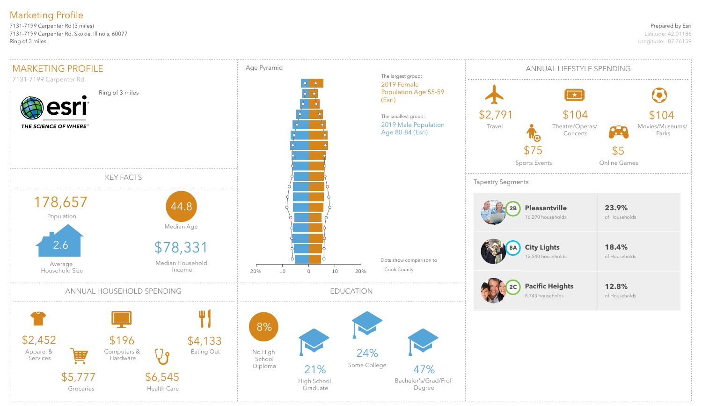### Prepared by Esri

Latitude: 42.01186 Longitude: -87.76159

7131-7199 Carpenter Rd (3 miles) 7131-7199 Carpenter Rd, Skokie, Illinois, 60077 Ring of 3 miles

# Marketing Profile

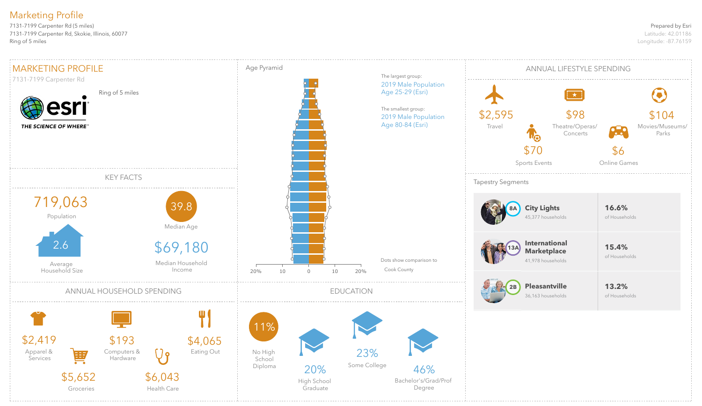### Prepared by Esri

Latitude: 42.01186 Longitude: -87.76159

7131-7199 Carpenter Rd (5 miles) 7131-7199 Carpenter Rd, Skokie, Illinois, 60077 Ring of 5 miles

# Marketing Profile

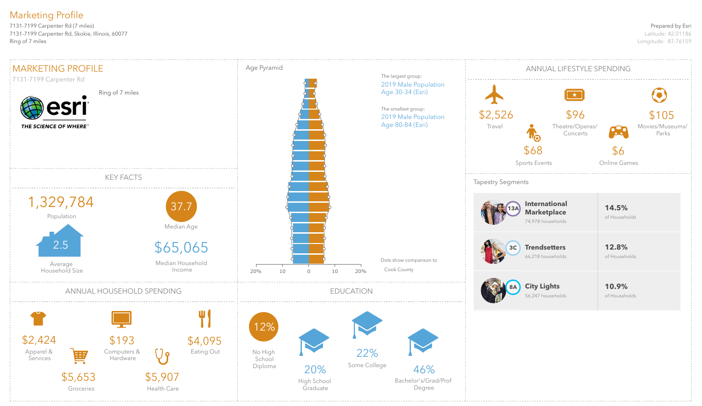### Prepared by Esri

Latitude: 42.01186 Longitude: -87.76159

7131-7199 Carpenter Rd (7 miles) 7131-7199 Carpenter Rd, Skokie, Illinois, 60077 Ring of 7 miles

# Marketing Profile

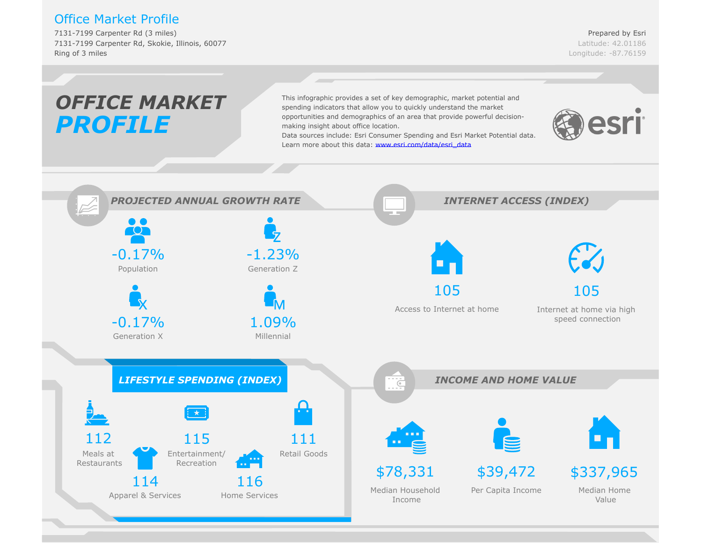### Office Market Profile

7131-7199 Carpenter Rd (3 miles) 7131-7199 Carpenter Rd, Skokie, Illinois, 60077 Ring of 3 miles

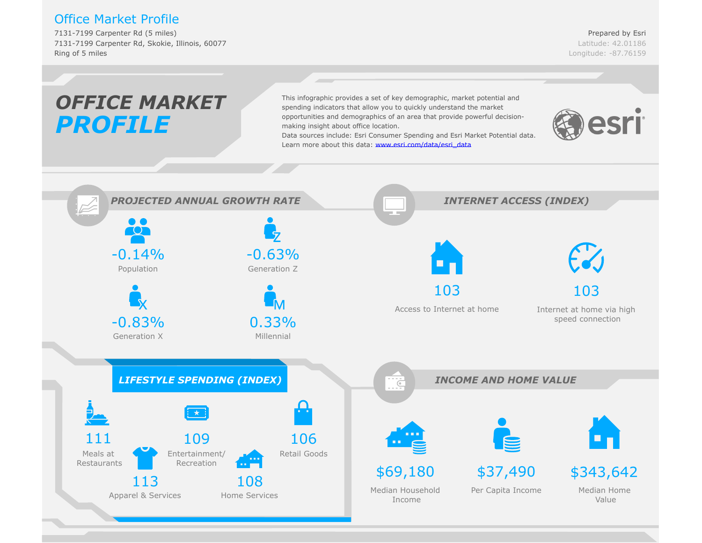### Office Market Profile

7131-7199 Carpenter Rd (5 miles) 7131-7199 Carpenter Rd, Skokie, Illinois, 60077 Ring of 5 miles

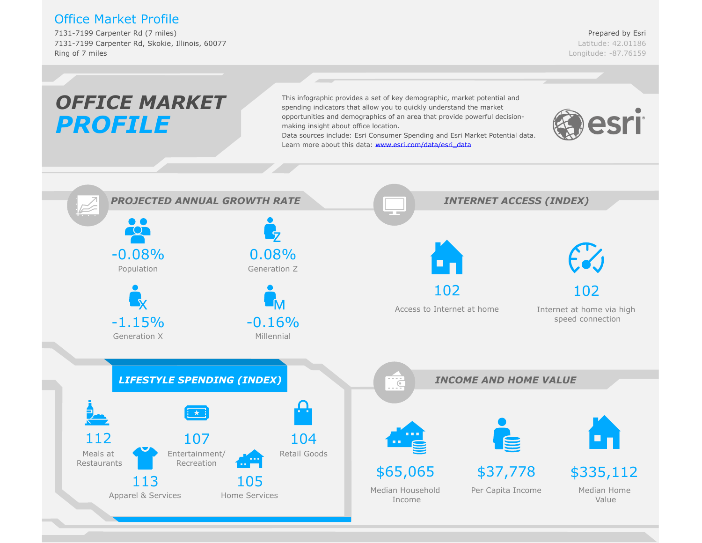### Office Market Profile

7131-7199 Carpenter Rd (7 miles) 7131-7199 Carpenter Rd, Skokie, Illinois, 60077 Ring of 7 miles

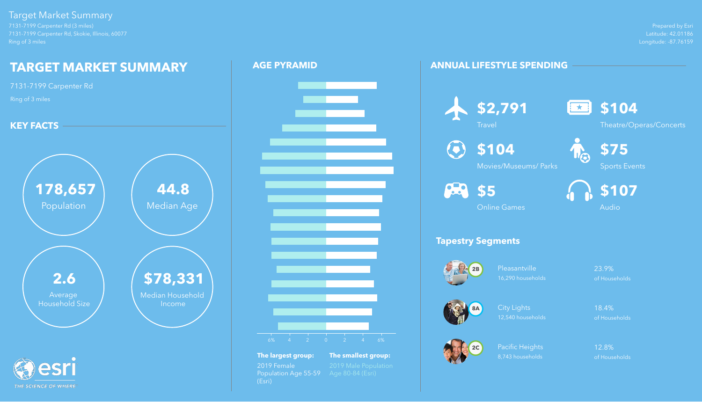Prepared by Esri Latitude: 42.01186 Longitude: -87.76159



7131-7199 Carpenter Rd (3 miles) 7131-7199 Carpenter Rd, Skokie, Illinois, 60077 Ring of 3 miles

> Pleasantville 23.9% 16,290 households of Households

## Target Market Summary

THE SCIENCE OF WHERE

Pacific Heights 12.8% 8,743 households of Households

## **ANNUAL LIFESTYLE SPENDING**

# **Tapestry Segments**





City Lights 18.4% 12,540 households of Households





 $\textcolor{blue}{\textbf{(c)}}$ 



Theatre/Operas/Concerts



**\$104**

Movies/Museums/ Parks



Sports Events



Online Games



## **AGE PYRAMID**





**The largest group: The smallest group:** 2019 Female 2019 Male Population<br>Population Age 55-59 Age 80-84 (Esri) Population Age 55-59 (Esri)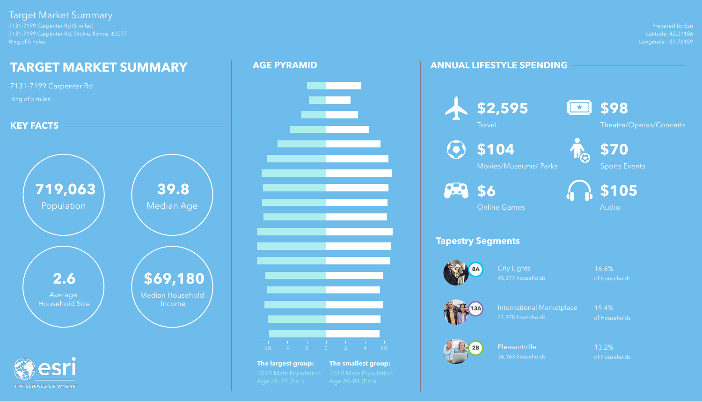Prepared by Esri Latitude: 42.01186 Longitude: -87.76159

7131-7199 Carpenter Rd (5 miles) 7131-7199 Carpenter Rd, Skokie, Illinois, 60077 Ring of 5 miles

## Target Market Summary

THE SCIENCE OF WHERE

City Lights 16.6% 45,377 households of Households

International Marketplace 15.4% 41,978 households of Households

Pleasantville 13.2% 36,163 households of Households

## **ANNUAL LIFESTYLE SPENDING**

# **Tapestry Segments**























Theatre/Operas/Concerts

**\$104**

Movies/Museums/ Parks





Online Games



**The largest group: The smallest group:**